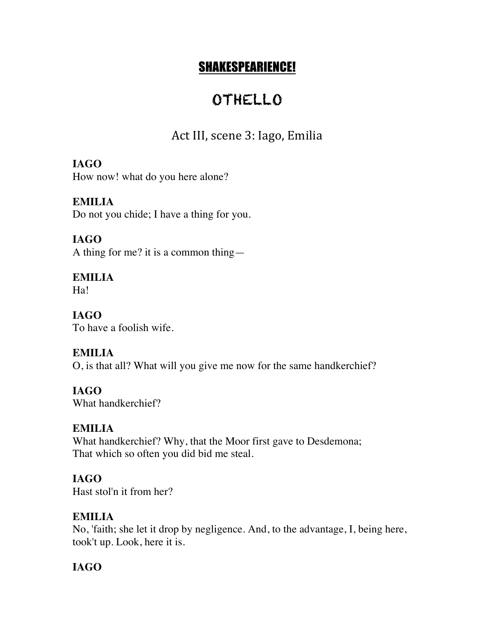# SHAKESPEARIENCE!

# OTHELLO

# Act III, scene 3: Iago, Emilia

## **IAGO**

How now! what do you here alone?

#### **EMILIA**

Do not you chide; I have a thing for you.

## **IAGO**

A thing for me? it is a common thing—

#### **EMILIA**

Ha!

# **IAGO**

To have a foolish wife.

#### **EMILIA**

O, is that all? What will you give me now for the same handkerchief?

#### **IAGO**

What handkerchief?

#### **EMILIA**

What handkerchief? Why, that the Moor first gave to Desdemona; That which so often you did bid me steal.

#### **IAGO**

Hast stol'n it from her?

## **EMILIA**

No, 'faith; she let it drop by negligence. And, to the advantage, I, being here, took't up. Look, here it is.

## **IAGO**